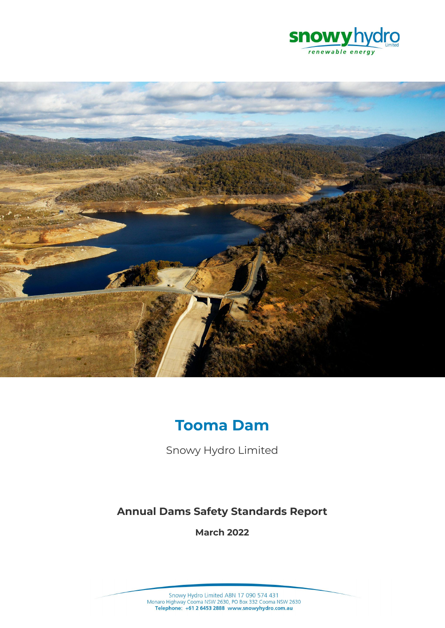



# **Tooma Dam**

Snowy Hydro Limited

# **Annual Dams Safety Standards Report**

**March 2022**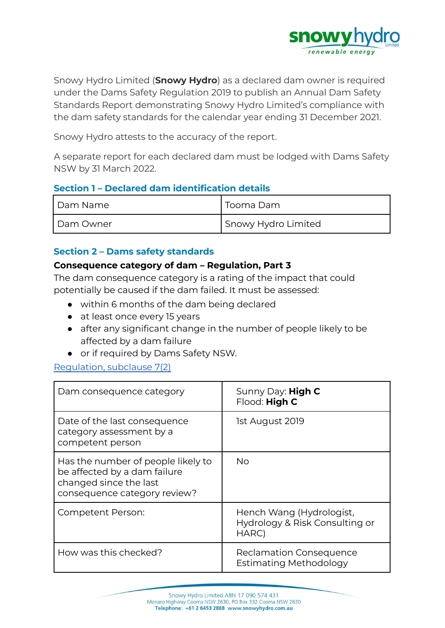

Snowy Hydro Limited (**Snowy Hydro**) as a declared dam owner is required under the Dams Safety Regulation 2019 to publish an Annual Dam Safety Standards Report demonstrating Snowy Hydro Limited's compliance with the dam safety standards for the calendar year ending 31 December 2021.

Snowy Hydro attests to the accuracy of the report.

A separate report for each declared dam must be lodged with Dams Safety NSW by 31 March 2022.

## **Section 1 – Declared dam identification details**

| Dam Name  | Tooma Dam           |
|-----------|---------------------|
| Dam Owner | Snowy Hydro Limited |

## **Section 2 – Dams safety standards**

#### **Consequence category of dam – Regulation, Part 3**

The dam consequence category is a rating of the impact that could potentially be caused if the dam failed. It must be assessed:

- within 6 months of the dam being declared
- at least once every 15 years
- after any significant change in the number of people likely to be affected by a dam failure
- or if required by Dams Safety NSW.

#### [Regulation,](https://legislation.nsw.gov.au/view/html/inforce/current/sl-2019-0506#sec.7) subclause 7(2)

| Dam consequence category                                                                                                     | Sunny Day: High C<br>Flood: High C                                  |
|------------------------------------------------------------------------------------------------------------------------------|---------------------------------------------------------------------|
| Date of the last consequence<br>category assessment by a<br>competent person                                                 | 1st August 2019                                                     |
| Has the number of people likely to<br>be affected by a dam failure<br>changed since the last<br>consequence category review? | <b>No</b>                                                           |
| Competent Person:                                                                                                            | Hench Wang (Hydrologist,<br>Hydrology & Risk Consulting or<br>HARC) |
| How was this checked?                                                                                                        | Reclamation Consequence<br><b>Estimating Methodology</b>            |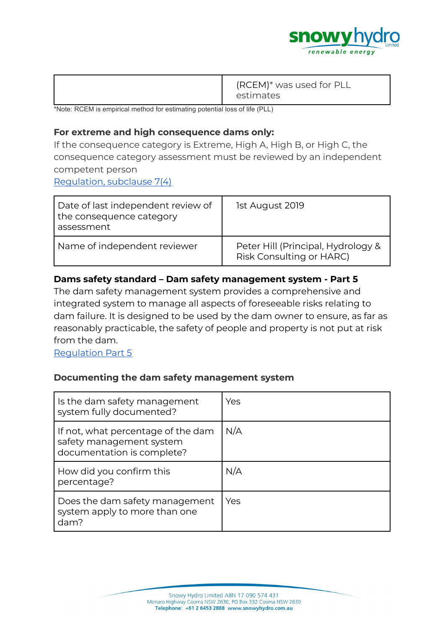

\*Note: RCEM is empirical method for estimating potential loss of life (PLL)

# **For extreme and high consequence dams only:**

If the consequence category is Extreme, High A, High B, or High C, the consequence category assessment must be reviewed by an independent competent person

[Regulation,](https://legislation.nsw.gov.au/view/html/inforce/current/sl-2019-0506#sec.7) subclause 7(4)

| Date of last independent review of<br>the consequence category<br>assessment | 1st August 2019                                                       |
|------------------------------------------------------------------------------|-----------------------------------------------------------------------|
| Name of independent reviewer                                                 | Peter Hill (Principal, Hydrology &<br><b>Risk Consulting or HARC)</b> |

# **Dams safety standard – Dam safety management system - Part 5**

The dam safety management system provides a comprehensive and integrated system to manage all aspects of foreseeable risks relating to dam failure. It is designed to be used by the dam owner to ensure, as far as reasonably practicable, the safety of people and property is not put at risk from the dam.

[Regulation](https://legislation.nsw.gov.au/view/html/inforce/current/sl-2019-0506#pt.5) Part 5

## **Documenting the dam safety management system**

| Is the dam safety management<br>system fully documented?                                     | Yes |
|----------------------------------------------------------------------------------------------|-----|
| If not, what percentage of the dam<br>safety management system<br>documentation is complete? | N/A |
| How did you confirm this<br>percentage?                                                      | N/A |
| Does the dam safety management<br>system apply to more than one<br>dam?                      | Yes |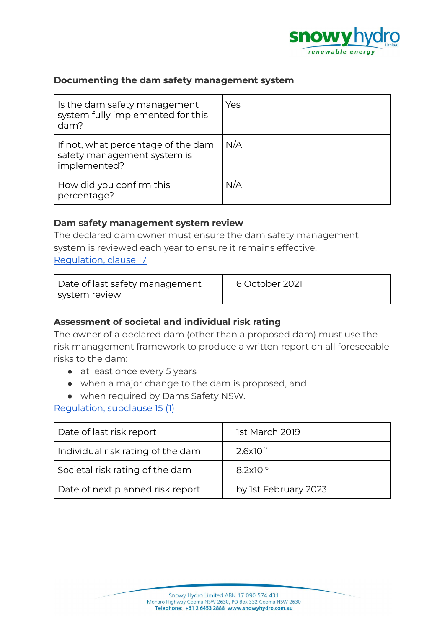

#### **Documenting the dam safety management system**

| Is the dam safety management<br>system fully implemented for this<br>dam?         | Yes |
|-----------------------------------------------------------------------------------|-----|
| If not, what percentage of the dam<br>safety management system is<br>implemented? | N/A |
| How did you confirm this<br>percentage?                                           | N/A |

#### **Dam safety management system review**

The declared dam owner must ensure the dam safety management system is reviewed each year to ensure it remains effective. [Regulation,](https://legislation.nsw.gov.au/view/html/inforce/current/sl-2019-0506#sec.17) clause 17

| Date of last safety management | 6 October 2021 |
|--------------------------------|----------------|
| system review                  |                |

## **Assessment of societal and individual risk rating**

The owner of a declared dam (other than a proposed dam) must use the risk management framework to produce a written report on all foreseeable risks to the dam:

- at least once every 5 years
- when a major change to the dam is proposed, and
- when required by Dams Safety NSW.

[Regulation,](https://legislation.nsw.gov.au/view/html/inforce/current/sl-2019-0506#sec.15) subclause 15 (1)

| Date of last risk report          | 1st March 2019       |
|-----------------------------------|----------------------|
| Individual risk rating of the dam | $2.6x10^{-7}$        |
| Societal risk rating of the dam   | $8.2 \times 10^{-6}$ |
| Date of next planned risk report  | by 1st February 2023 |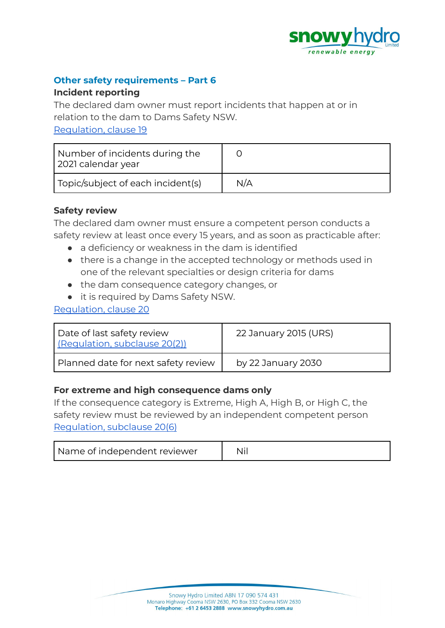

# **Other safety requirements – Part 6**

#### **Incident reporting**

The declared dam owner must report incidents that happen at or in relation to the dam to Dams Safety NSW.

[Regulation,](https://legislation.nsw.gov.au/view/html/inforce/current/sl-2019-0506#sec.19) clause 19

| Number of incidents during the<br>2021 calendar year |     |
|------------------------------------------------------|-----|
| Topic/subject of each incident(s)                    | N/A |

# **Safety review**

The declared dam owner must ensure a competent person conducts a safety review at least once every 15 years, and as soon as practicable after:

- a deficiency or weakness in the dam is identified
- there is a change in the accepted technology or methods used in one of the relevant specialties or design criteria for dams
- the dam consequence category changes, or
- it is required by Dams Safety NSW.

# [Regulation,](https://legislation.nsw.gov.au/view/html/inforce/current/sl-2019-0506#sec.20) clause 20

| Date of last safety review<br>(Regulation, subclause 20(2)) | 22 January 2015 (URS) |
|-------------------------------------------------------------|-----------------------|
| Planned date for next safety review                         | by 22 January 2030    |

## **For extreme and high consequence dams only**

If the consequence category is Extreme, High A, High B, or High C, the safety review must be reviewed by an independent competent person [Regulation,](https://legislation.nsw.gov.au/view/html/inforce/current/sl-2019-0506#sec.7) subclause 20(6)

| i Name of independent reviewer. |  |
|---------------------------------|--|
|---------------------------------|--|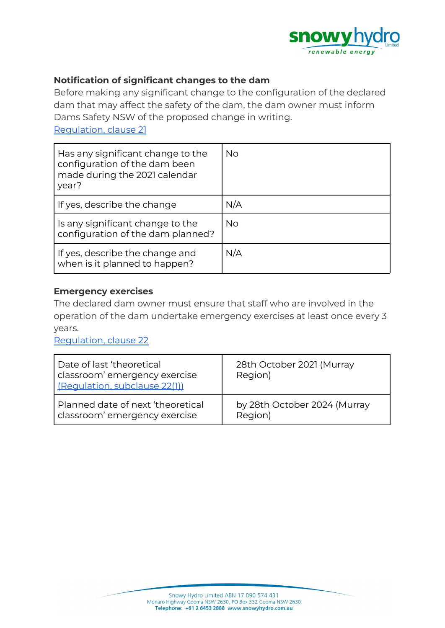

# **Notification of significant changes to the dam**

Before making any significant change to the configuration of the declared dam that may affect the safety of the dam, the dam owner must inform Dams Safety NSW of the proposed change in writing.

[Regulation,](https://legislation.nsw.gov.au/view/html/inforce/current/sl-2019-0506#sec.21) clause 21

| Has any significant change to the<br>configuration of the dam been<br>made during the 2021 calendar<br>year? | <b>No</b> |
|--------------------------------------------------------------------------------------------------------------|-----------|
| If yes, describe the change                                                                                  | N/A       |
| Is any significant change to the<br>configuration of the dam planned?                                        | <b>No</b> |
| If yes, describe the change and<br>when is it planned to happen?                                             | N/A       |

#### **Emergency exercises**

The declared dam owner must ensure that staff who are involved in the operation of the dam undertake emergency exercises at least once every 3 years.

[Regulation,](https://legislation.nsw.gov.au/view/html/inforce/current/sl-2019-0506#sec.22) clause 22

| Date of last 'theoretical<br>classroom' emergency exercise<br>(Regulation, subclause 22(1)) | 28th October 2021 (Murray<br>Region) |
|---------------------------------------------------------------------------------------------|--------------------------------------|
| Planned date of next 'theoretical                                                           | by 28th October 2024 (Murray         |
| classroom' emergency exercise                                                               | Region)                              |